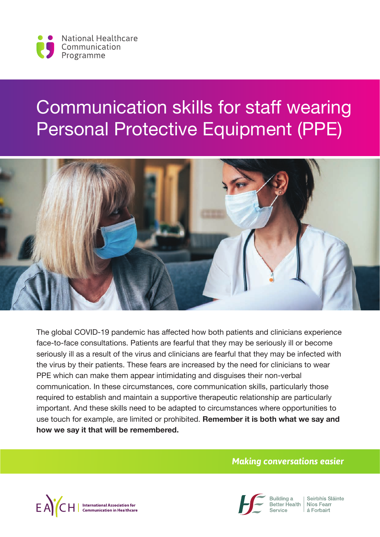

# Communication skills for staff wearing Personal Protective Equipment (PPE)



The global COVID-19 pandemic has affected how both patients and clinicians experience face-to-face consultations. Patients are fearful that they may be seriously ill or become seriously ill as a result of the virus and clinicians are fearful that they may be infected with the virus by their patients. These fears are increased by the need for clinicians to wear PPE which can make them appear intimidating and disguises their non-verbal communication. In these circumstances, core communication skills, particularly those required to establish and maintain a supportive therapeutic relationship are particularly important. And these skills need to be adapted to circumstances where opportunities to use touch for example, are limited or prohibited. **Remember it is both what we say and how we say it that will be remembered.**

#### *Making conversations easier*





Building a Better Health | Níos Fearr

Seirbhís Sláinte á Forbairt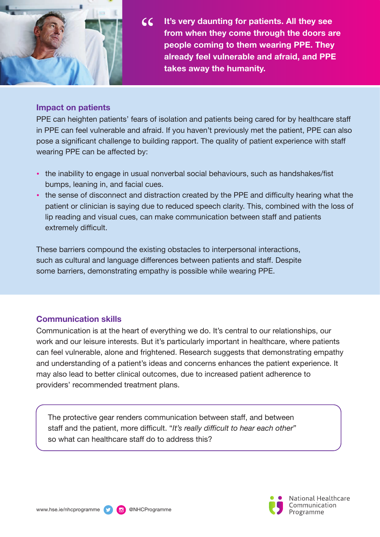

 $cc$ **It's very daunting for patients. All they see from when they come through the doors are people coming to them wearing PPE. They already feel vulnerable and afraid, and PPE takes away the humanity.**

#### **Impact on patients**

PPE can heighten patients' fears of isolation and patients being cared for by healthcare staff in PPE can feel vulnerable and afraid. If you haven't previously met the patient, PPE can also pose a significant challenge to building rapport. The quality of patient experience with staff wearing PPE can be affected by:

- the inability to engage in usual nonverbal social behaviours, such as handshakes/fist bumps, leaning in, and facial cues.
- the sense of disconnect and distraction created by the PPE and difficulty hearing what the patient or clinician is saying due to reduced speech clarity. This, combined with the loss of lip reading and visual cues, can make communication between staff and patients extremely difficult.

These barriers compound the existing obstacles to interpersonal interactions, such as cultural and language differences between patients and staff. Despite some barriers, demonstrating empathy is possible while wearing PPE.

#### **Communication skills**

Communication is at the heart of everything we do. It's central to our relationships, our work and our leisure interests. But it's particularly important in healthcare, where patients can feel vulnerable, alone and frightened. Research suggests that demonstrating empathy and understanding of a patient's ideas and concerns enhances the patient experience. It may also lead to better clinical outcomes, due to increased patient adherence to providers' recommended treatment plans.

The protective gear renders communication between staff, and between staff and the patient, more difficult. "*It's really difficult to hear each other*" so what can healthcare staff do to address this?

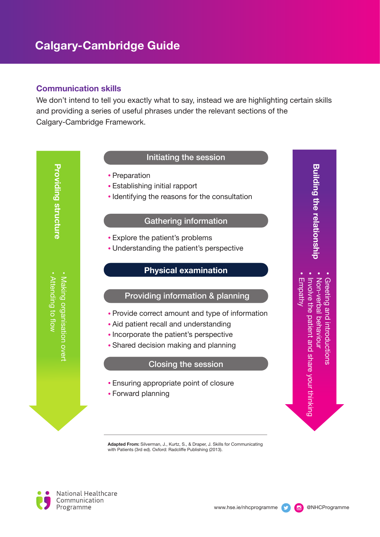#### **Communication skills**

We don't intend to tell you exactly what to say, instead we are highlighting certain skills and providing a series of useful phrases under the relevant sections of the Calgary-Cambridge Framework.

#### Initiating the session

- Preparation
- Establishing initial rapport
- Identifying the reasons for the consultation

#### Gathering information

- Explore the patient's problems
- Understanding the patient's perspective

#### **Physical examination**

#### Providing information & planning

- Provide correct amount and type of information
- Aid patient recall and understanding
- Incorporate the patient's perspective
- Shared decision making and planning

#### Closing the session

- Ensuring appropriate point of closure
- Forward planning

**Adapted From:** Silverman, J., Kurtz, S., & Draper, J. Skills for Communicating with Patients (3rd ed). Oxford: Radcliffe Publishing (2013).

**National Healthcare** Communication Programme



**Building the relationship**

**Building the relationship** 

•

•

•

•

Empathy

Involve the patient and share your thinking

Non-verbal behaviour

Non-verbal behaviour Greeting and introductions

Greeting and introductions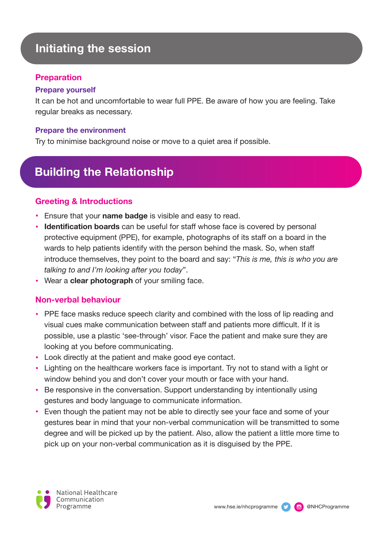## **Initiating the session**

#### **Preparation**

#### **Prepare yourself**

It can be hot and uncomfortable to wear full PPE. Be aware of how you are feeling. Take regular breaks as necessary.

#### **Prepare the environment**

Try to minimise background noise or move to a quiet area if possible.

# **Building the Relationship**

#### **Greeting & Introductions**

- Ensure that your **name badge** is visible and easy to read.
- **Identification boards** can be useful for staff whose face is covered by personal protective equipment (PPE), for example, photographs of its staff on a board in the wards to help patients identify with the person behind the mask. So, when staff introduce themselves, they point to the board and say: "*This is me, this is who you are talking to and I'm looking after you today*".
- Wear a **clear photograph** of your smiling face.

#### **Non-verbal behaviour**

- PPE face masks reduce speech clarity and combined with the loss of lip reading and visual cues make communication between staff and patients more difficult. If it is possible, use a plastic 'see-through' visor. Face the patient and make sure they are looking at you before communicating.
- Look directly at the patient and make good eye contact.
- Lighting on the healthcare workers face is important. Try not to stand with a light or window behind you and don't cover your mouth or face with your hand.
- Be responsive in the conversation. Support understanding by intentionally using gestures and body language to communicate information.
- Even though the patient may not be able to directly see your face and some of your gestures bear in mind that your non-verbal communication will be transmitted to some degree and will be picked up by the patient. Also, allow the patient a little more time to pick up on your non-verbal communication as it is disguised by the PPE.

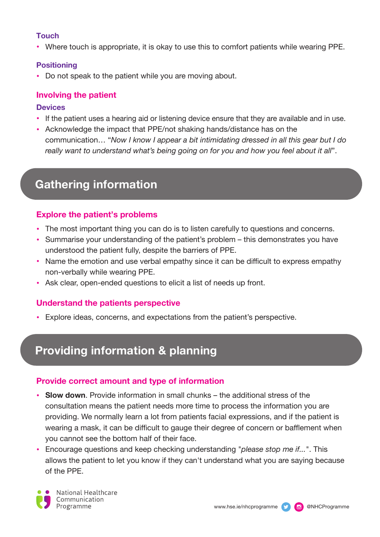#### **Touch**

• Where touch is appropriate, it is okay to use this to comfort patients while wearing PPE.

#### **Positioning**

• Do not speak to the patient while you are moving about.

#### **Involving the patient**

#### **Devices**

- If the patient uses a hearing aid or listening device ensure that they are available and in use.
- Acknowledge the impact that PPE/not shaking hands/distance has on the communication… "*Now I know I appear a bit intimidating dressed in all this gear but I do really want to understand what's being going on for you and how you feel about it all*".

# **Gathering information**

#### **Explore the patient's problems**

- The most important thing you can do is to listen carefully to questions and concerns.
- Summarise your understanding of the patient's problem this demonstrates you have understood the patient fully, despite the barriers of PPE.
- Name the emotion and use verbal empathy since it can be difficult to express empathy non-verbally while wearing PPE.
- Ask clear, open-ended questions to elicit a list of needs up front.

#### **Understand the patients perspective**

• Explore ideas, concerns, and expectations from the patient's perspective.

# **Providing information & planning**

#### **Provide correct amount and type of information**

- **Slow down**. Provide information in small chunks the additional stress of the consultation means the patient needs more time to process the information you are providing. We normally learn a lot from patients facial expressions, and if the patient is wearing a mask, it can be difficult to gauge their degree of concern or bafflement when you cannot see the bottom half of their face.
- Encourage questions and keep checking understanding "*please stop me if...*". This allows the patient to let you know if they can't understand what you are saying because of the PPE.